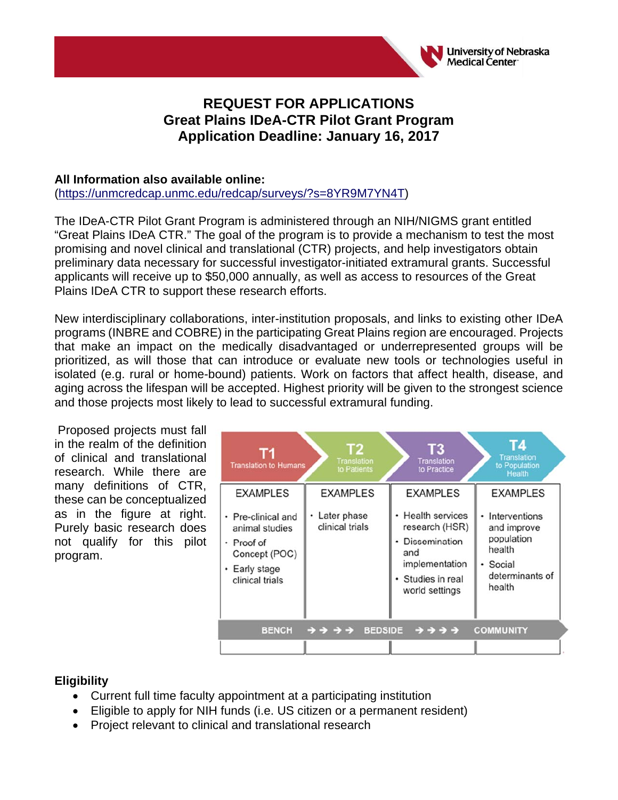

# **REQUEST FOR APPLICATIONS Great Plains IDeA-CTR Pilot Grant Program Application Deadline: January 16, 2017**

#### **All Information also available online:**

(https://unmcredcap.unmc.edu/redcap/surveys/?s=8YR9M7YN4T)

The IDeA-CTR Pilot Grant Program is administered through an NIH/NIGMS grant entitled "Great Plains IDeA CTR." The goal of the program is to provide a mechanism to test the most promising and novel clinical and translational (CTR) projects, and help investigators obtain preliminary data necessary for successful investigator-initiated extramural grants. Successful applicants will receive up to \$50,000 annually, as well as access to resources of the Great Plains IDeA CTR to support these research efforts.

New interdisciplinary collaborations, inter-institution proposals, and links to existing other IDeA programs (INBRE and COBRE) in the participating Great Plains region are encouraged. Projects that make an impact on the medically disadvantaged or underrepresented groups will be prioritized, as will those that can introduce or evaluate new tools or technologies useful in isolated (e.g. rural or home-bound) patients. Work on factors that affect health, disease, and aging across the lifespan will be accepted. Highest priority will be given to the strongest science and those projects most likely to lead to successful extramural funding.

 Proposed projects must fall in the realm of the definition of clinical and translational research. While there are many definitions of CTR, these can be conceptualized as in the figure at right. Purely basic research does not qualify for this pilot program.

| <b>Translation to Humans</b>                                                                                               | Τ2<br>Translation<br>to Patients                    | Τ3<br><b>Translation</b><br>to Practice                                                                                                        | <b>Translation</b><br>to Population<br>Health                                                                      |
|----------------------------------------------------------------------------------------------------------------------------|-----------------------------------------------------|------------------------------------------------------------------------------------------------------------------------------------------------|--------------------------------------------------------------------------------------------------------------------|
| <b>EXAMPLES</b><br>• Pre-clinical and<br>animal studies<br>• Proof of<br>Concept (POC)<br>• Early stage<br>clinical trials | <b>EXAMPLES</b><br>• Later phase<br>clinical trials | <b>EXAMPLES</b><br>• Health services<br>research (HSR)<br><b>Dissemination</b><br>and<br>implementation<br>· Studies in real<br>world settings | <b>EXAMPLES</b><br>• Interventions<br>and improve<br>population<br>health<br>• Social<br>determinants of<br>health |
| <b>BENCH</b>                                                                                                               | <b>BEDSIDE</b><br>うう うう                             | <b>ナナナナ</b>                                                                                                                                    | <b>COMMUNITY</b>                                                                                                   |

#### **Eligibility**

- Current full time faculty appointment at a participating institution
- Eligible to apply for NIH funds (i.e. US citizen or a permanent resident)
- Project relevant to clinical and translational research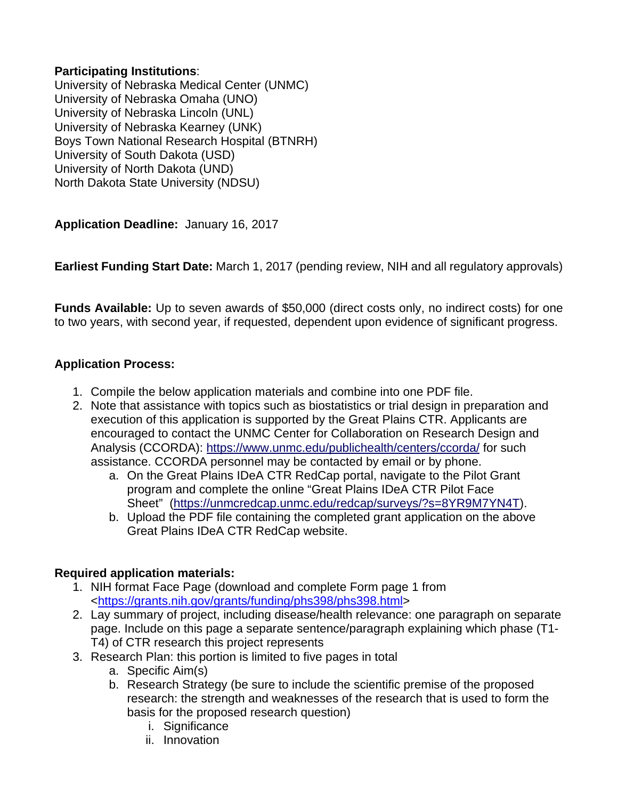# **Participating Institutions**:

University of Nebraska Medical Center (UNMC) University of Nebraska Omaha (UNO) University of Nebraska Lincoln (UNL) University of Nebraska Kearney (UNK) Boys Town National Research Hospital (BTNRH) University of South Dakota (USD) University of North Dakota (UND) North Dakota State University (NDSU)

**Application Deadline:** January 16, 2017

**Earliest Funding Start Date:** March 1, 2017 (pending review, NIH and all regulatory approvals)

**Funds Available:** Up to seven awards of \$50,000 (direct costs only, no indirect costs) for one to two years, with second year, if requested, dependent upon evidence of significant progress.

# **Application Process:**

- 1. Compile the below application materials and combine into one PDF file.
- 2. Note that assistance with topics such as biostatistics or trial design in preparation and execution of this application is supported by the Great Plains CTR. Applicants are encouraged to contact the UNMC Center for Collaboration on Research Design and Analysis (CCORDA): https://www.unmc.edu/publichealth/centers/ccorda/ for such assistance. CCORDA personnel may be contacted by email or by phone.
	- a. On the Great Plains IDeA CTR RedCap portal, navigate to the Pilot Grant program and complete the online "Great Plains IDeA CTR Pilot Face Sheet" (https://unmcredcap.unmc.edu/redcap/surveys/?s=8YR9M7YN4T).
	- b. Upload the PDF file containing the completed grant application on the above Great Plains IDeA CTR RedCap website.

#### **Required application materials:**

- 1. NIH format Face Page (download and complete Form page 1 from <https://grants.nih.gov/grants/funding/phs398/phs398.html>
- 2. Lay summary of project, including disease/health relevance: one paragraph on separate page. Include on this page a separate sentence/paragraph explaining which phase (T1- T4) of CTR research this project represents
- 3. Research Plan: this portion is limited to five pages in total
	- a. Specific Aim(s)
	- b. Research Strategy (be sure to include the scientific premise of the proposed research: the strength and weaknesses of the research that is used to form the basis for the proposed research question)
		- i. Significance
		- ii. Innovation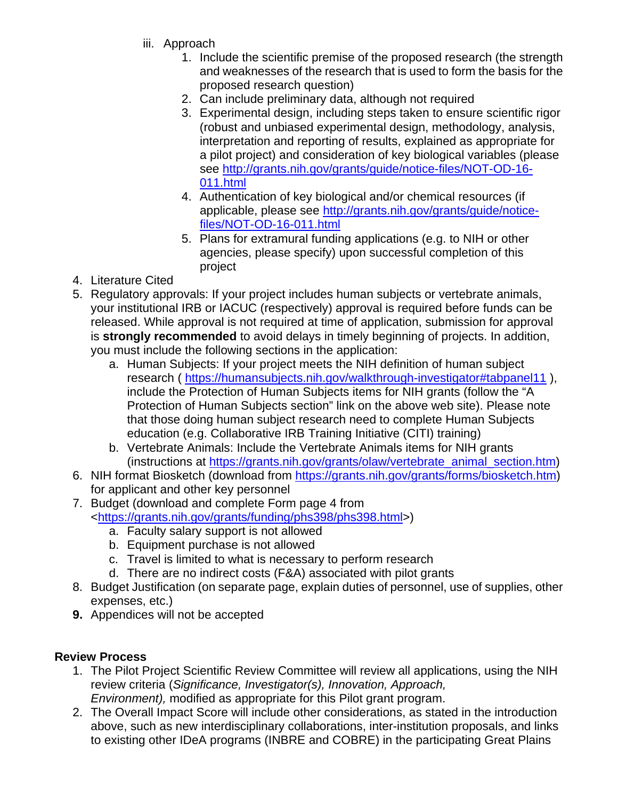- iii. Approach
	- 1. Include the scientific premise of the proposed research (the strength and weaknesses of the research that is used to form the basis for the proposed research question)
	- 2. Can include preliminary data, although not required
	- 3. Experimental design, including steps taken to ensure scientific rigor (robust and unbiased experimental design, methodology, analysis, interpretation and reporting of results, explained as appropriate for a pilot project) and consideration of key biological variables (please see http://grants.nih.gov/grants/guide/notice-files/NOT-OD-16- 011.html
	- 4. Authentication of key biological and/or chemical resources (if applicable, please see http://grants.nih.gov/grants/guide/noticefiles/NOT-OD-16-011.html
	- 5. Plans for extramural funding applications (e.g. to NIH or other agencies, please specify) upon successful completion of this project
- 4. Literature Cited
- 5. Regulatory approvals: If your project includes human subjects or vertebrate animals, your institutional IRB or IACUC (respectively) approval is required before funds can be released. While approval is not required at time of application, submission for approval is **strongly recommended** to avoid delays in timely beginning of projects. In addition, you must include the following sections in the application:
	- a. Human Subjects: If your project meets the NIH definition of human subject research ( https://humansubjects.nih.gov/walkthrough-investigator#tabpanel11 ), include the Protection of Human Subjects items for NIH grants (follow the "A Protection of Human Subjects section" link on the above web site). Please note that those doing human subject research need to complete Human Subjects education (e.g. Collaborative IRB Training Initiative (CITI) training)
	- b. Vertebrate Animals: Include the Vertebrate Animals items for NIH grants (instructions at https://grants.nih.gov/grants/olaw/vertebrate\_animal\_section.htm)
- 6. NIH format Biosketch (download from https://grants.nih.gov/grants/forms/biosketch.htm) for applicant and other key personnel
- 7. Budget (download and complete Form page 4 from <https://grants.nih.gov/grants/funding/phs398/phs398.html>)
	- a. Faculty salary support is not allowed
	- b. Equipment purchase is not allowed
	- c. Travel is limited to what is necessary to perform research
	- d. There are no indirect costs (F&A) associated with pilot grants
- 8. Budget Justification (on separate page, explain duties of personnel, use of supplies, other expenses, etc.)
- **9.** Appendices will not be accepted

# **Review Process**

- 1. The Pilot Project Scientific Review Committee will review all applications, using the NIH review criteria (*Significance, Investigator(s), Innovation, Approach, Environment),* modified as appropriate for this Pilot grant program.
- 2. The Overall Impact Score will include other considerations, as stated in the introduction above, such as new interdisciplinary collaborations, inter-institution proposals, and links to existing other IDeA programs (INBRE and COBRE) in the participating Great Plains